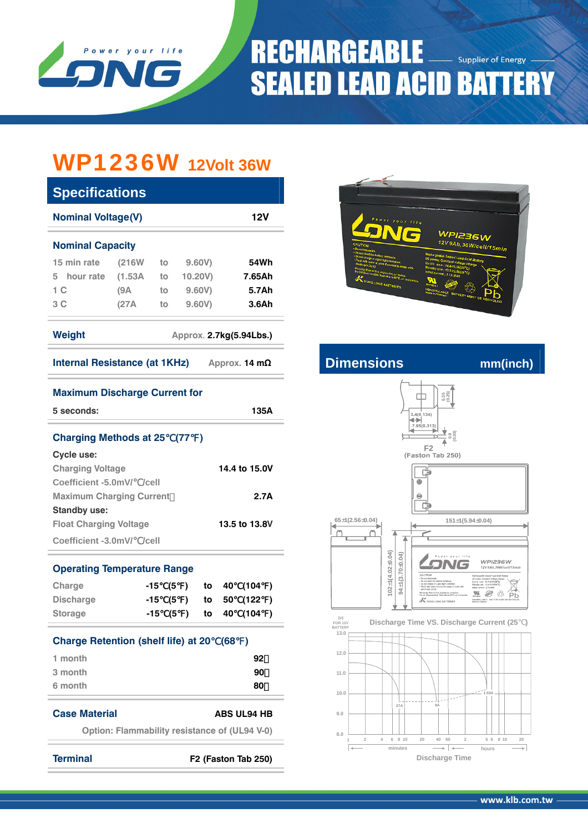

# **RECHARGEABLE** Supplier of Energy **SEALED LEAD ACID BATTERY**

## WP1236W **12Volt 36W**

| <b>Specifications</b>                                  |                                                      |          |          |         |      |                    |  |  |  |
|--------------------------------------------------------|------------------------------------------------------|----------|----------|---------|------|--------------------|--|--|--|
|                                                        | <b>Nominal Voltage(V)</b><br>12V                     |          |          |         |      |                    |  |  |  |
| <b>Nominal Capacity</b>                                |                                                      |          |          |         |      |                    |  |  |  |
| 15 min rate                                            | $(216W$ to                                           |          |          | 9.60V)  |      | 54Wh               |  |  |  |
| 5 hour rate (1.53A                                     |                                                      | to       |          | 10.20V) |      | 7.65Ah             |  |  |  |
| 1 <sup>C</sup>                                         | (9A)                                                 | to       |          | 9.60V)  |      | 5.7Ah              |  |  |  |
| 3C                                                     | (27A)                                                | to       |          | 9.60V)  |      | 3.6Ah              |  |  |  |
| Weight<br>Approx. 2.7kg(5.94Lbs.)                      |                                                      |          |          |         |      |                    |  |  |  |
| Internal Resistance (at $1KHz$ ) Approx. 14 m $\Omega$ |                                                      |          |          |         |      |                    |  |  |  |
| <b>Maximum Discharge Current for</b>                   |                                                      |          |          |         |      |                    |  |  |  |
| 5 seconds:<br>135A                                     |                                                      |          |          |         |      |                    |  |  |  |
| <b>Charging Methods at 25 (77)</b>                     |                                                      |          |          |         |      |                    |  |  |  |
| Cycle use:                                             |                                                      |          |          |         |      |                    |  |  |  |
| <b>Charging Voltage</b><br>14.4 to 15.0V               |                                                      |          |          |         |      |                    |  |  |  |
| Coefficient -5.0mV/ /cell                              |                                                      |          |          |         |      |                    |  |  |  |
| <b>Maximum Charging Current</b><br>2.7A                |                                                      |          |          |         |      |                    |  |  |  |
| <b>Standby use:</b>                                    |                                                      |          |          |         |      |                    |  |  |  |
| <b>Float Charging Voltage</b>                          |                                                      |          |          |         |      | 13.5 to 13.8V      |  |  |  |
| Coefficient -3.0mV/ /cell                              |                                                      |          |          |         |      |                    |  |  |  |
| <b>Operating Temperature Range</b>                     |                                                      |          |          |         |      |                    |  |  |  |
| Charge                                                 |                                                      |          | -15 (5 ) | to      | 40 - | (104)              |  |  |  |
| <b>Discharge</b>                                       |                                                      |          | -15 (5 ) | to      | 50   | (122<br>$\lambda$  |  |  |  |
| <b>Storage</b>                                         |                                                      | $-15(5)$ |          | to      | 40   | (104<br>)          |  |  |  |
| <b>Charge Retention (shelf life) at 20</b>             |                                                      |          |          |         | (68  | $\lambda$          |  |  |  |
| 1 month                                                |                                                      |          |          |         |      | 92                 |  |  |  |
| 3 month                                                |                                                      |          |          |         |      | 90                 |  |  |  |
| 6 month                                                |                                                      |          |          |         |      | 80                 |  |  |  |
| <b>Case Material</b>                                   |                                                      |          |          |         |      | <b>ABS UL94 HB</b> |  |  |  |
|                                                        | <b>Option: Flammability resistance of (UL94 V-0)</b> |          |          |         |      |                    |  |  |  |
|                                                        |                                                      |          |          |         |      |                    |  |  |  |

**Terminal F2 (Faston Tab 250)**



### **Internal Resistance (AD** mm(inch)